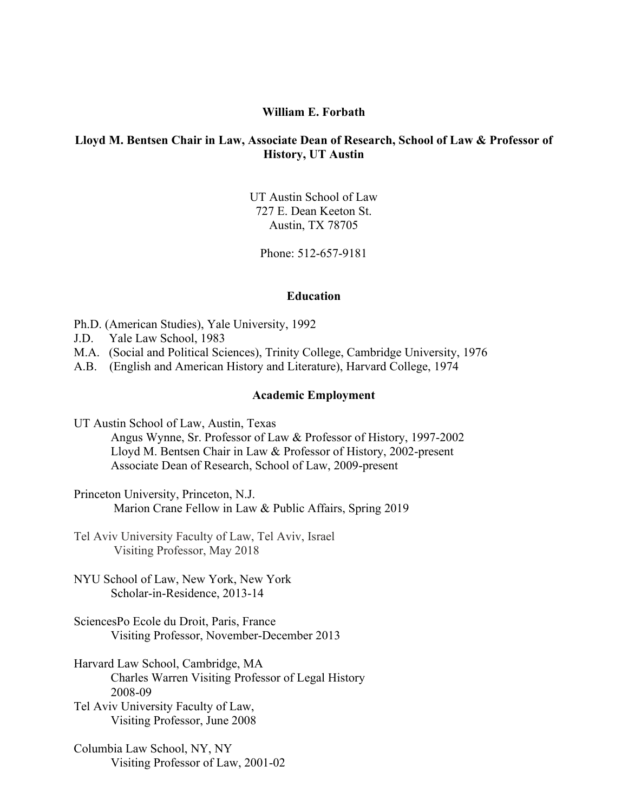### **William E. Forbath**

### **Lloyd M. Bentsen Chair in Law, Associate Dean of Research, School of Law & Professor of History, UT Austin**

UT Austin School of Law 727 E. Dean Keeton St. Austin, TX 78705

Phone: 512-657-9181

### **Education**

Ph.D. (American Studies), Yale University, 1992

- J.D. Yale Law School, 1983
- M.A. (Social and Political Sciences), Trinity College, Cambridge University, 1976
- A.B. (English and American History and Literature), Harvard College, 1974

### **Academic Employment**

UT Austin School of Law, Austin, Texas

Angus Wynne, Sr. Professor of Law & Professor of History, 1997-2002 Lloyd M. Bentsen Chair in Law & Professor of History, 2002-present Associate Dean of Research, School of Law, 2009-present

Princeton University, Princeton, N.J. Marion Crane Fellow in Law & Public Affairs, Spring 2019

Tel Aviv University Faculty of Law, Tel Aviv, Israel Visiting Professor, May 2018

NYU School of Law, New York, New York Scholar-in-Residence, 2013-14

SciencesPo Ecole du Droit, Paris, France Visiting Professor, November-December 2013

Harvard Law School, Cambridge, MA Charles Warren Visiting Professor of Legal History 2008-09

Tel Aviv University Faculty of Law, Visiting Professor, June 2008

Columbia Law School, NY, NY Visiting Professor of Law, 2001-02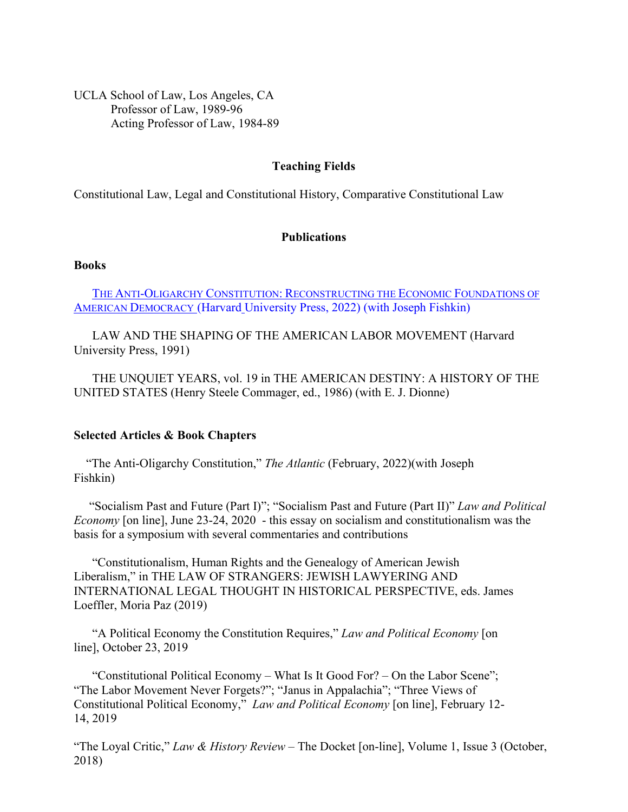UCLA School of Law, Los Angeles, CA Professor of Law, 1989-96 Acting Professor of Law, 1984-89

### **Teaching Fields**

Constitutional Law, Legal and Constitutional History, Comparative Constitutional Law

# **Publications**

# **Books**

THE ANTI-OLIGARCHY CONSTITUTION: [RECONSTRUCTING THE ECONOMIC FOUNDATIONS OF](https://www.hup.harvard.edu/catalog.php?isbn=9780674980624)  AMERICAN DEMOCRACY (Harvard [University Press, 2022\) \(with Joseph Fishkin\)](https://www.hup.harvard.edu/catalog.php?isbn=9780674980624)

LAW AND THE SHAPING OF THE AMERICAN LABOR MOVEMENT (Harvard University Press, 1991)

THE UNQUIET YEARS, vol. 19 in THE AMERICAN DESTINY: A HISTORY OF THE UNITED STATES (Henry Steele Commager, ed., 1986) (with E. J. Dionne)

#### **Selected Articles & Book Chapters**

"The Anti-Oligarchy Constitution," *The Atlantic* (February, 2022)(with Joseph Fishkin)

 "Socialism Past and Future (Part I)"; "Socialism Past and Future (Part II)" *Law and Political Economy* [on line], June 23-24, 2020 - this essay on socialism and constitutionalism was the basis for a symposium with several commentaries and contributions

"Constitutionalism, Human Rights and the Genealogy of American Jewish Liberalism," in THE LAW OF STRANGERS: JEWISH LAWYERING AND INTERNATIONAL LEGAL THOUGHT IN HISTORICAL PERSPECTIVE, eds. James Loeffler, Moria Paz (2019)

"A Political Economy the Constitution Requires," *Law and Political Economy* [on line], October 23, 2019

"Constitutional Political Economy – What Is It Good For? – On the Labor Scene"; "The Labor Movement Never Forgets?"; "Janus in Appalachia"; "Three Views of Constitutional Political Economy," *Law and Political Economy* [on line], February 12- 14, 2019

"The Loyal Critic," *Law & History Review* – The Docket [on-line], Volume 1, Issue 3 (October, 2018)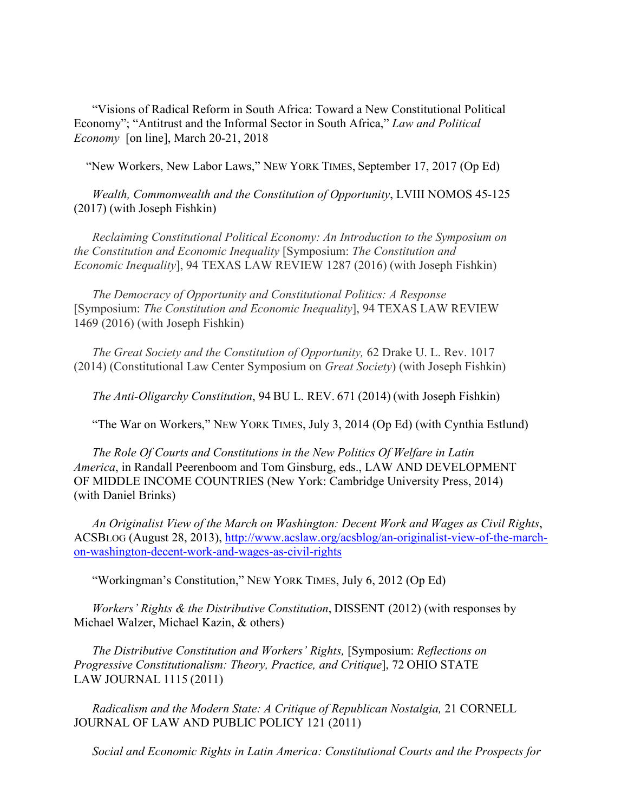"Visions of Radical Reform in South Africa: Toward a New Constitutional Political Economy"; "Antitrust and the Informal Sector in South Africa," *Law and Political Economy* [on line], March 20-21, 2018

"New Workers, New Labor Laws," NEW YORK TIMES, September 17, 2017 (Op Ed)

*Wealth, Commonwealth and the Constitution of Opportunity*, LVIII NOMOS 45-125 (2017) (with Joseph Fishkin)

*Reclaiming Constitutional Political Economy: An Introduction to the Symposium on the Constitution and Economic Inequality* [Symposium: *The Constitution and Economic Inequality*], 94 TEXAS LAW REVIEW 1287 (2016) (with Joseph Fishkin)

*The Democracy of Opportunity and Constitutional Politics: A Response* [Symposium: *The Constitution and Economic Inequality*], 94 TEXAS LAW REVIEW 1469 (2016) (with Joseph Fishkin)

*The Great Society and the Constitution of Opportunity,* 62 Drake U. L. Rev. 1017 (2014) (Constitutional Law Center Symposium on *Great Society*) (with Joseph Fishkin)

*The Anti-Oligarchy Constitution*, 94 BU L. REV. 671 (2014) (with Joseph Fishkin)

"The War on Workers," NEW YORK TIMES, July 3, 2014 (Op Ed) (with Cynthia Estlund)

*The Role Of Courts and Constitutions in the New Politics Of Welfare in Latin America*, in Randall Peerenboom and Tom Ginsburg, eds., LAW AND DEVELOPMENT OF MIDDLE INCOME COUNTRIES (New York: Cambridge University Press, 2014) (with Daniel Brinks)

*An Originalist View of the March on Washington: Decent Work and Wages as Civil Rights*, ACSBLOG (August 28, 2013), [http://www.acslaw.org/acsblog/an-originalist-view-of-the-march](http://www.acslaw.org/acsblog/an-originalist-view-of-the-march-on-washington-decent-work-and-wages-as-civil-rights)[on-washington-decent-work-and-wages-as-civil-rights](http://www.acslaw.org/acsblog/an-originalist-view-of-the-march-on-washington-decent-work-and-wages-as-civil-rights)

"Workingman's Constitution," NEW YORK TIMES, July 6, 2012 (Op Ed)

*Workers' Rights & the Distributive Constitution*, DISSENT (2012) (with responses by Michael Walzer, Michael Kazin, & others)

*The Distributive Constitution and Workers' Rights,* [Symposium: *Reflections on Progressive Constitutionalism: Theory, Practice, and Critique*], 72 OHIO STATE LAW JOURNAL 1115 (2011)

*Radicalism and the Modern State: A Critique of Republican Nostalgia,* 21 CORNELL JOURNAL OF LAW AND PUBLIC POLICY 121 (2011)

*Social and Economic Rights in Latin America: Constitutional Courts and the Prospects for*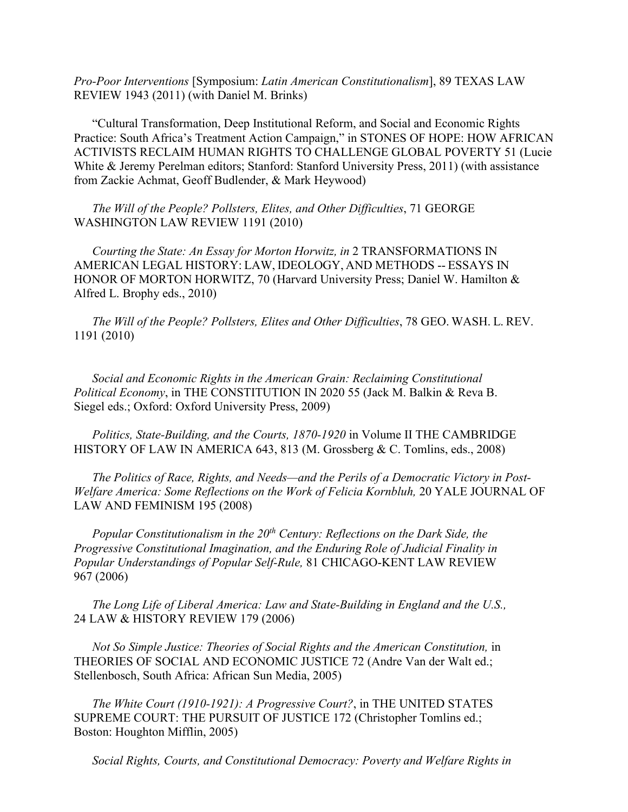*Pro‐Poor Interventions* [Symposium: *Latin American Constitutionalism*], 89 TEXAS LAW REVIEW 1943 (2011) (with Daniel M. Brinks)

"Cultural Transformation, Deep Institutional Reform, and Social and Economic Rights Practice: South Africa's Treatment Action Campaign," in STONES OF HOPE: HOW AFRICAN ACTIVISTS RECLAIM HUMAN RIGHTS TO CHALLENGE GLOBAL POVERTY 51 (Lucie White & Jeremy Perelman editors; Stanford: Stanford University Press, 2011) (with assistance from Zackie Achmat, Geoff Budlender, & Mark Heywood)

*The Will of the People? Pollsters, Elites, and Other Difficulties*, 71 GEORGE WASHINGTON LAW REVIEW 1191 (2010)

*Courting the State: An Essay for Morton Horwitz, in* 2 TRANSFORMATIONS IN AMERICAN LEGAL HISTORY: LAW, IDEOLOGY, AND METHODS -- ESSAYS IN HONOR OF MORTON HORWITZ, 70 (Harvard University Press; Daniel W. Hamilton & Alfred L. Brophy eds., 2010)

*The Will of the People? Pollsters, Elites and Other Difficulties*, 78 GEO. WASH. L. REV. 1191 (2010)

*Social and Economic Rights in the American Grain: Reclaiming Constitutional Political Economy*, in THE CONSTITUTION IN 2020 55 (Jack M. Balkin & Reva B. Siegel eds.; Oxford: Oxford University Press, 2009)

*Politics, State-Building, and the Courts, 1870-1920* in Volume II THE CAMBRIDGE HISTORY OF LAW IN AMERICA 643, 813 (M. Grossberg & C. Tomlins, eds., 2008)

*The Politics of Race, Rights, and Needs—and the Perils of a Democratic Victory in Post-Welfare America: Some Reflections on the Work of Felicia Kornbluh,* 20 YALE JOURNAL OF LAW AND FEMINISM 195 (2008)

*Popular Constitutionalism in the 20th Century: Reflections on the Dark Side, the Progressive Constitutional Imagination, and the Enduring Role of Judicial Finality in Popular Understandings of Popular Self-Rule,* 81 CHICAGO-KENT LAW REVIEW 967 (2006)

*The Long Life of Liberal America: Law and State-Building in England and the U.S.,* 24 LAW & HISTORY REVIEW 179 (2006)

*Not So Simple Justice: Theories of Social Rights and the American Constitution,* in THEORIES OF SOCIAL AND ECONOMIC JUSTICE 72 (Andre Van der Walt ed.; Stellenbosch, South Africa: African Sun Media, 2005)

*The White Court (1910-1921): A Progressive Court?*, in THE UNITED STATES SUPREME COURT: THE PURSUIT OF JUSTICE 172 (Christopher Tomlins ed.; Boston: Houghton Mifflin, 2005)

*Social Rights, Courts, and Constitutional Democracy: Poverty and Welfare Rights in*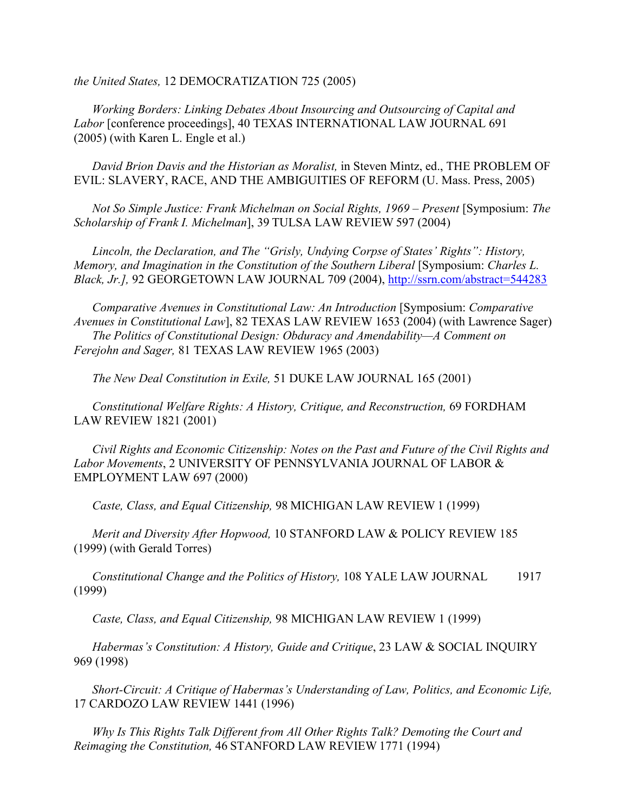*the United States,* 12 DEMOCRATIZATION 725 (2005)

*Working Borders: Linking Debates About Insourcing and Outsourcing of Capital and Labor* [conference proceedings], 40 TEXAS INTERNATIONAL LAW JOURNAL 691 (2005) (with Karen L. Engle et al.)

*David Brion Davis and the Historian as Moralist,* in Steven Mintz, ed., THE PROBLEM OF EVIL: SLAVERY, RACE, AND THE AMBIGUITIES OF REFORM (U. Mass. Press, 2005)

*Not So Simple Justice: Frank Michelman on Social Rights, 1969 – Present* [Symposium: *The Scholarship of Frank I. Michelman*], 39 TULSA LAW REVIEW 597 (2004)

*Lincoln, the Declaration, and The "Grisly, Undying Corpse of States' Rights": History, Memory, and Imagination in the Constitution of the Southern Liberal [Symposium: Charles L. Black, Jr.],* 92 GEORGETOWN LAW JOURNAL 709 (2004),<http://ssrn.com/abstract=544283>

*Comparative Avenues in Constitutional Law: An Introduction* [Symposium: *Comparative Avenues in Constitutional Law*], 82 TEXAS LAW REVIEW 1653 (2004) (with Lawrence Sager) *The Politics of Constitutional Design: Obduracy and Amendability—A Comment on Ferejohn and Sager,* 81 TEXAS LAW REVIEW 1965 (2003)

*The New Deal Constitution in Exile,* 51 DUKE LAW JOURNAL 165 (2001)

*Constitutional Welfare Rights: A History, Critique, and Reconstruction,* 69 FORDHAM LAW REVIEW 1821 (2001)

*Civil Rights and Economic Citizenship: Notes on the Past and Future of the Civil Rights and Labor Movements*, 2 UNIVERSITY OF PENNSYLVANIA JOURNAL OF LABOR & EMPLOYMENT LAW 697 (2000)

*Caste, Class, and Equal Citizenship,* 98 MICHIGAN LAW REVIEW 1 (1999)

*Merit and Diversity After Hopwood,* 10 STANFORD LAW & POLICY REVIEW 185 (1999) (with Gerald Torres)

*Constitutional Change and the Politics of History,* 108 YALE LAW JOURNAL 1917 (1999)

*Caste, Class, and Equal Citizenship,* 98 MICHIGAN LAW REVIEW 1 (1999)

*Habermas's Constitution: A History, Guide and Critique*, 23 LAW & SOCIAL INQUIRY 969 (1998)

*Short-Circuit: A Critique of Habermas's Understanding of Law, Politics, and Economic Life,* 17 CARDOZO LAW REVIEW 1441 (1996)

*Why Is This Rights Talk Different from All Other Rights Talk? Demoting the Court and Reimaging the Constitution,* 46 STANFORD LAW REVIEW 1771 (1994)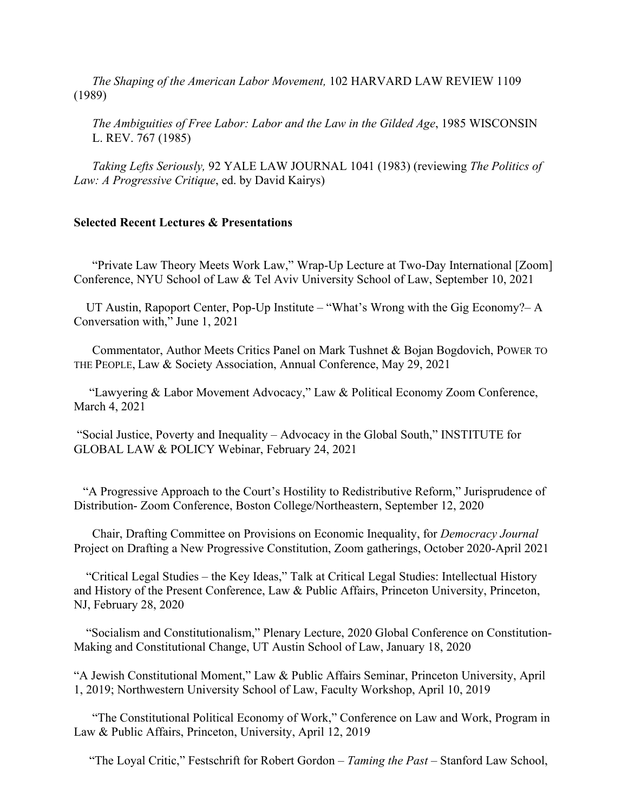*The Shaping of the American Labor Movement,* 102 HARVARD LAW REVIEW 1109 (1989)

*The Ambiguities of Free Labor: Labor and the Law in the Gilded Age*, 1985 WISCONSIN L. REV. 767 (1985)

*Taking Lefts Seriously,* 92 YALE LAW JOURNAL 1041 (1983) (reviewing *The Politics of Law: A Progressive Critique*, ed. by David Kairys)

### **Selected Recent Lectures & Presentations**

 "Private Law Theory Meets Work Law," Wrap-Up Lecture at Two-Day International [Zoom] Conference, NYU School of Law & Tel Aviv University School of Law, September 10, 2021

 UT Austin, Rapoport Center, Pop-Up Institute – "What's Wrong with the Gig Economy?– A Conversation with," June 1, 2021

 Commentator, Author Meets Critics Panel on Mark Tushnet & Bojan Bogdovich, POWER TO THE PEOPLE, Law & Society Association, Annual Conference, May 29, 2021

 "Lawyering & Labor Movement Advocacy," Law & Political Economy Zoom Conference, March 4, 2021

"Social Justice, Poverty and Inequality – Advocacy in the Global South," INSTITUTE for GLOBAL LAW & POLICY Webinar, February 24, 2021

 "A Progressive Approach to the Court's Hostility to Redistributive Reform," Jurisprudence of Distribution- Zoom Conference, Boston College/Northeastern, September 12, 2020

 Chair, Drafting Committee on Provisions on Economic Inequality, for *Democracy Journal* Project on Drafting a New Progressive Constitution, Zoom gatherings, October 2020-April 2021

 "Critical Legal Studies – the Key Ideas," Talk at Critical Legal Studies: Intellectual History and History of the Present Conference, Law & Public Affairs, Princeton University, Princeton, NJ, February 28, 2020

 "Socialism and Constitutionalism," Plenary Lecture, 2020 Global Conference on Constitution-Making and Constitutional Change, UT Austin School of Law, January 18, 2020

"A Jewish Constitutional Moment," Law & Public Affairs Seminar, Princeton University, April 1, 2019; Northwestern University School of Law, Faculty Workshop, April 10, 2019

 "The Constitutional Political Economy of Work," Conference on Law and Work, Program in Law & Public Affairs, Princeton, University, April 12, 2019

"The Loyal Critic," Festschrift for Robert Gordon – *Taming the Past* – Stanford Law School,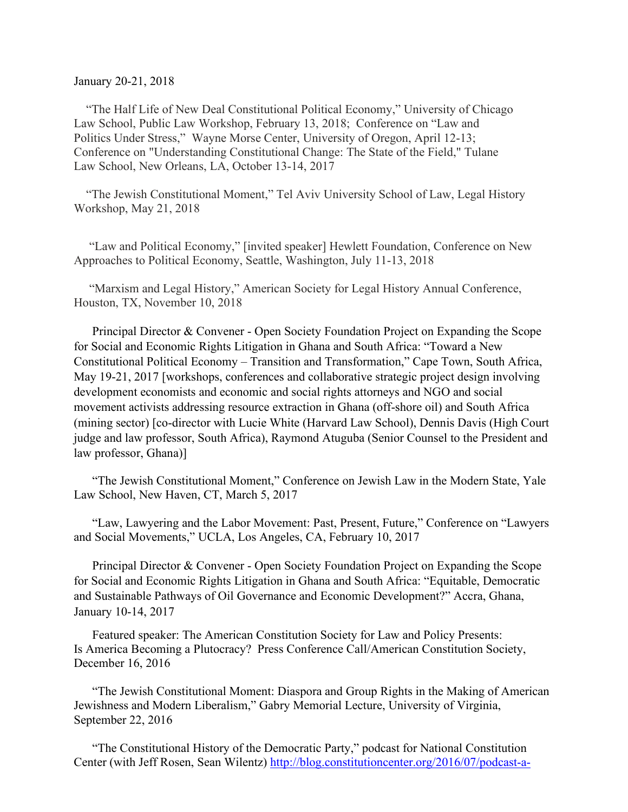#### January 20-21, 2018

 "The Half Life of New Deal Constitutional Political Economy," University of Chicago Law School, Public Law Workshop, February 13, 2018; Conference on "Law and Politics Under Stress," Wayne Morse Center, University of Oregon, April 12-13; Conference on "Understanding Constitutional Change: The State of the Field," Tulane Law School, New Orleans, LA, October 13-14, 2017

 "The Jewish Constitutional Moment," Tel Aviv University School of Law, Legal History Workshop, May 21, 2018

 "Law and Political Economy," [invited speaker] Hewlett Foundation, Conference on New Approaches to Political Economy, Seattle, Washington, July 11-13, 2018

 "Marxism and Legal History," American Society for Legal History Annual Conference, Houston, TX, November 10, 2018

Principal Director & Convener - Open Society Foundation Project on Expanding the Scope for Social and Economic Rights Litigation in Ghana and South Africa: "Toward a New Constitutional Political Economy – Transition and Transformation," Cape Town, South Africa, May 19-21, 2017 [workshops, conferences and collaborative strategic project design involving development economists and economic and social rights attorneys and NGO and social movement activists addressing resource extraction in Ghana (off-shore oil) and South Africa (mining sector) [co-director with Lucie White (Harvard Law School), Dennis Davis (High Court judge and law professor, South Africa), Raymond Atuguba (Senior Counsel to the President and law professor, Ghana)]

"The Jewish Constitutional Moment," Conference on Jewish Law in the Modern State, Yale Law School, New Haven, CT, March 5, 2017

"Law, Lawyering and the Labor Movement: Past, Present, Future," Conference on "Lawyers and Social Movements," UCLA, Los Angeles, CA, February 10, 2017

Principal Director & Convener - Open Society Foundation Project on Expanding the Scope for Social and Economic Rights Litigation in Ghana and South Africa: "Equitable, Democratic and Sustainable Pathways of Oil Governance and Economic Development?" Accra, Ghana, January 10-14, 2017

Featured speaker: The American Constitution Society for Law and Policy Presents: Is America Becoming a Plutocracy? Press Conference Call/American Constitution Society, December 16, 2016

"The Jewish Constitutional Moment: Diaspora and Group Rights in the Making of American Jewishness and Modern Liberalism," Gabry Memorial Lecture, University of Virginia, September 22, 2016

"The Constitutional History of the Democratic Party," podcast for National Constitution Center (with Jeff Rosen, Sean Wilentz) [http://blog.constitutioncenter.org/2016/07/podcast-a-](http://blog.constitutioncenter.org/2016/07/podcast-a-constitutional-history-of-the-democratic-party/)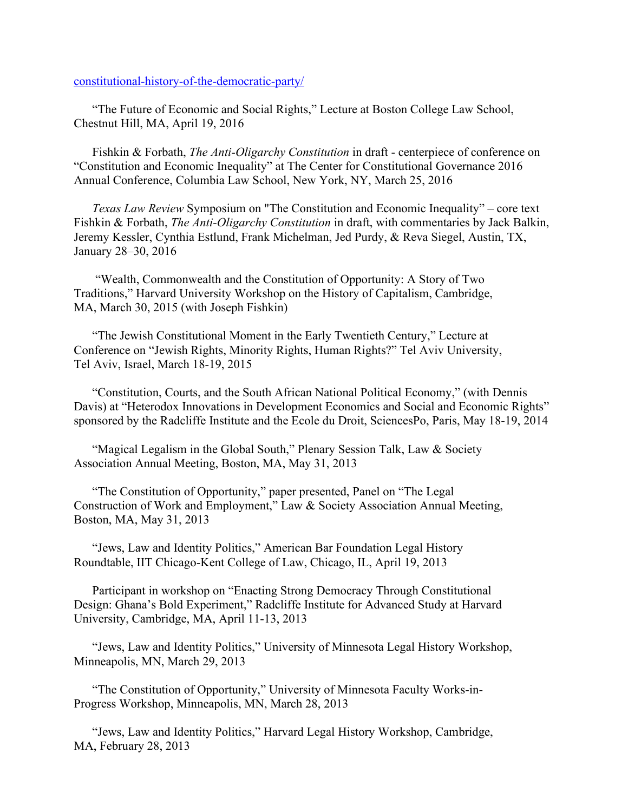[constitutional-history-of-the-democratic-party/](http://blog.constitutioncenter.org/2016/07/podcast-a-constitutional-history-of-the-democratic-party/)

"The Future of Economic and Social Rights," Lecture at Boston College Law School, Chestnut Hill, MA, April 19, 2016

Fishkin & Forbath, *The Anti-Oligarchy Constitution* in draft - centerpiece of conference on "Constitution and Economic Inequality" at The Center for Constitutional Governance 2016 Annual Conference, Columbia Law School, New York, NY, March 25, 2016

*Texas Law Review* Symposium on "The Constitution and Economic Inequality" – core text Fishkin & Forbath, *The Anti-Oligarchy Constitution* in draft, with commentaries by Jack Balkin, Jeremy Kessler, Cynthia Estlund, Frank Michelman, Jed Purdy, & Reva Siegel, Austin, TX, January 28–30, 2016

"Wealth, Commonwealth and the Constitution of Opportunity: A Story of Two Traditions," Harvard University Workshop on the History of Capitalism, Cambridge, MA, March 30, 2015 (with Joseph Fishkin)

"The Jewish Constitutional Moment in the Early Twentieth Century," Lecture at Conference on "Jewish Rights, Minority Rights, Human Rights?" Tel Aviv University, Tel Aviv, Israel, March 18-19, 2015

"Constitution, Courts, and the South African National Political Economy," (with Dennis Davis) at "Heterodox Innovations in Development Economics and Social and Economic Rights" sponsored by the Radcliffe Institute and the Ecole du Droit, SciencesPo, Paris, May 18-19, 2014

"Magical Legalism in the Global South," Plenary Session Talk, Law & Society Association Annual Meeting, Boston, MA, May 31, 2013

"The Constitution of Opportunity," paper presented, Panel on "The Legal Construction of Work and Employment," Law & Society Association Annual Meeting, Boston, MA, May 31, 2013

"Jews, Law and Identity Politics," American Bar Foundation Legal History Roundtable, IIT Chicago-Kent College of Law, Chicago, IL, April 19, 2013

Participant in workshop on "Enacting Strong Democracy Through Constitutional Design: Ghana's Bold Experiment," Radcliffe Institute for Advanced Study at Harvard University, Cambridge, MA, April 11-13, 2013

"Jews, Law and Identity Politics," University of Minnesota Legal History Workshop, Minneapolis, MN, March 29, 2013

"The Constitution of Opportunity," University of Minnesota Faculty Works-in-Progress Workshop, Minneapolis, MN, March 28, 2013

"Jews, Law and Identity Politics," Harvard Legal History Workshop, Cambridge, MA, February 28, 2013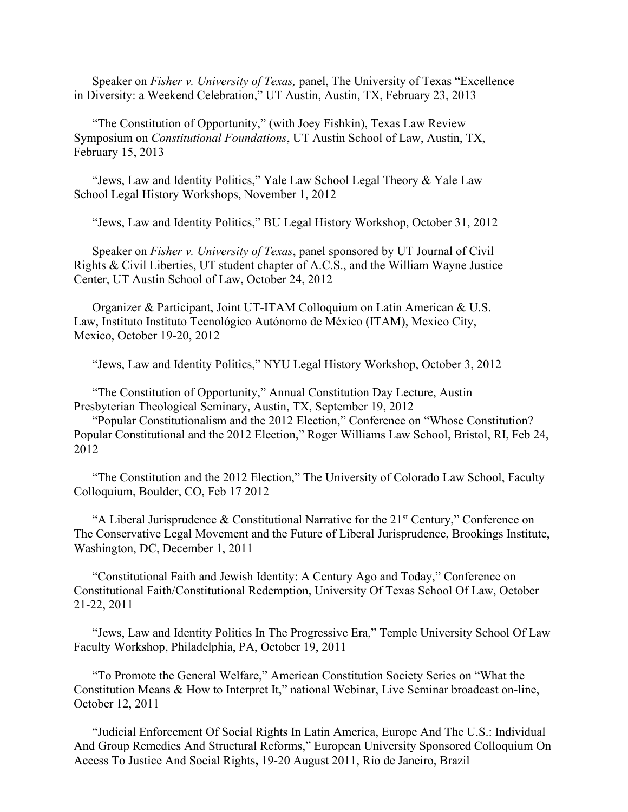Speaker on *Fisher v. University of Texas,* panel, The University of Texas "Excellence in Diversity: a Weekend Celebration," UT Austin, Austin, TX, February 23, 2013

"The Constitution of Opportunity," (with Joey Fishkin), Texas Law Review Symposium on *Constitutional Foundations*, UT Austin School of Law, Austin, TX, February 15, 2013

"Jews, Law and Identity Politics," Yale Law School Legal Theory & Yale Law School Legal History Workshops, November 1, 2012

"Jews, Law and Identity Politics," BU Legal History Workshop, October 31, 2012

Speaker on *Fisher v. University of Texas*, panel sponsored by UT Journal of Civil Rights & Civil Liberties, UT student chapter of A.C.S., and the William Wayne Justice Center, UT Austin School of Law, October 24, 2012

Organizer & Participant, Joint UT-ITAM Colloquium on Latin American & U.S. Law, Instituto Instituto Tecnológico Autónomo de México (ITAM), Mexico City, Mexico, October 19-20, 2012

"Jews, Law and Identity Politics," NYU Legal History Workshop, October 3, 2012

"The Constitution of Opportunity," Annual Constitution Day Lecture, Austin Presbyterian Theological Seminary, Austin, TX, September 19, 2012

"Popular Constitutionalism and the 2012 Election," Conference on "Whose Constitution? Popular Constitutional and the 2012 Election," Roger Williams Law School, Bristol, RI, Feb 24, 2012

"The Constitution and the 2012 Election," The University of Colorado Law School, Faculty Colloquium, Boulder, CO, Feb 17 2012

"A Liberal Jurisprudence & Constitutional Narrative for the  $21<sup>st</sup>$  Century," Conference on The Conservative Legal Movement and the Future of Liberal Jurisprudence, Brookings Institute, Washington, DC, December 1, 2011

"Constitutional Faith and Jewish Identity: A Century Ago and Today," Conference on Constitutional Faith/Constitutional Redemption, University Of Texas School Of Law, October 21-22, 2011

"Jews, Law and Identity Politics In The Progressive Era," Temple University School Of Law Faculty Workshop, Philadelphia, PA, October 19, 2011

"To Promote the General Welfare," American Constitution Society Series on "What the Constitution Means & How to Interpret It," national Webinar, Live Seminar broadcast on-line, October 12, 2011

"Judicial Enforcement Of Social Rights In Latin America, Europe And The U.S.: Individual And Group Remedies And Structural Reforms," European University Sponsored Colloquium On Access To Justice And Social Rights**,** 19-20 August 2011, Rio de Janeiro, Brazil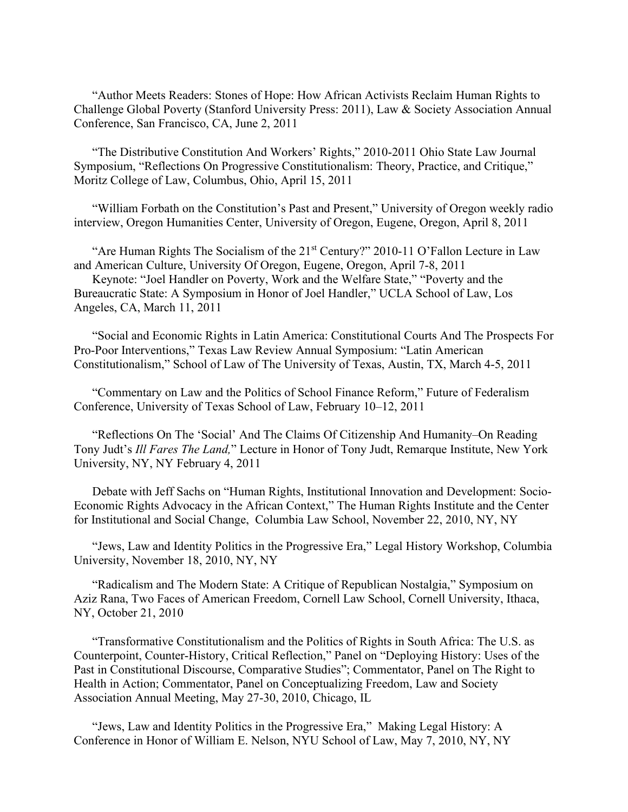"Author Meets Readers: Stones of Hope: How African Activists Reclaim Human Rights to Challenge Global Poverty (Stanford University Press: 2011), Law & Society Association Annual Conference, San Francisco, CA, June 2, 2011

"The Distributive Constitution And Workers' Rights," 2010-2011 Ohio State Law Journal Symposium, "Reflections On Progressive Constitutionalism: Theory, Practice, and Critique," Moritz College of Law, Columbus, Ohio, April 15, 2011

"William Forbath on the Constitution's Past and Present," University of Oregon weekly radio interview, Oregon Humanities Center, University of Oregon, Eugene, Oregon, April 8, 2011

"Are Human Rights The Socialism of the 21<sup>st</sup> Century?" 2010-11 O'Fallon Lecture in Law and American Culture, University Of Oregon, Eugene, Oregon, April 7-8, 2011

Keynote: "Joel Handler on Poverty, Work and the Welfare State," "Poverty and the Bureaucratic State: A Symposium in Honor of Joel Handler," UCLA School of Law, Los Angeles, CA, March 11, 2011

"Social and Economic Rights in Latin America: Constitutional Courts And The Prospects For Pro‐Poor Interventions," Texas Law Review Annual Symposium: "Latin American Constitutionalism," School of Law of The University of Texas, Austin, TX, March 4-5, 2011

"Commentary on Law and the Politics of School Finance Reform," Future of Federalism Conference, University of Texas School of Law, February 10–12, 2011

"Reflections On The 'Social' And The Claims Of Citizenship And Humanity–On Reading Tony Judt's *Ill Fares The Land,*" Lecture in Honor of Tony Judt, Remarque Institute, New York University, NY, NY February 4, 2011

Debate with Jeff Sachs on "Human Rights, Institutional Innovation and Development: Socio-Economic Rights Advocacy in the African Context," The Human Rights Institute and the Center for Institutional and Social Change, Columbia Law School, November 22, 2010, NY, NY

"Jews, Law and Identity Politics in the Progressive Era," Legal History Workshop, Columbia University, November 18, 2010, NY, NY

"Radicalism and The Modern State: A Critique of Republican Nostalgia," Symposium on Aziz Rana, Two Faces of American Freedom, Cornell Law School, Cornell University, Ithaca, NY, October 21, 2010

"Transformative Constitutionalism and the Politics of Rights in South Africa: The U.S. as Counterpoint, Counter-History, Critical Reflection," Panel on "Deploying History: Uses of the Past in Constitutional Discourse, Comparative Studies"; Commentator, Panel on The Right to Health in Action; Commentator, Panel on Conceptualizing Freedom, Law and Society Association Annual Meeting, May 27-30, 2010, Chicago, IL

"Jews, Law and Identity Politics in the Progressive Era," Making Legal History: A Conference in Honor of William E. Nelson, NYU School of Law, May 7, 2010, NY, NY